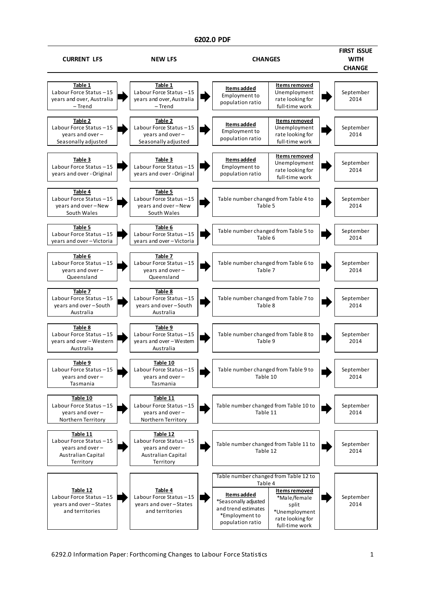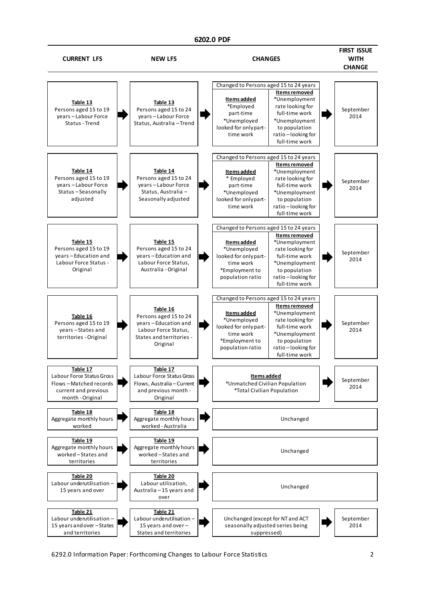

6292.0 Information Paper: Forthcoming Changes to Labour Force Statistics 2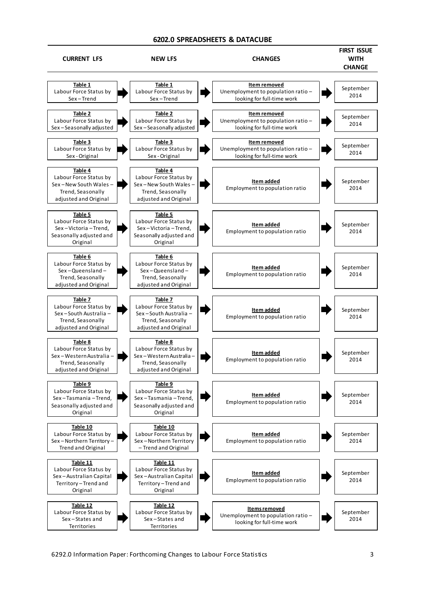# **6202.0 SPREADSHEETS & DATACUBE**

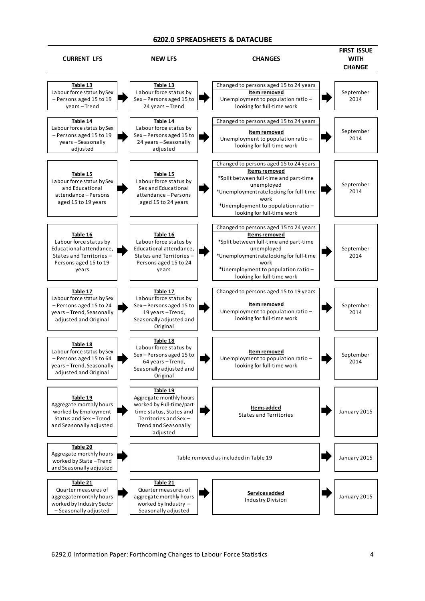## **6202.0 SPREADSHEETS & DATACUBE**

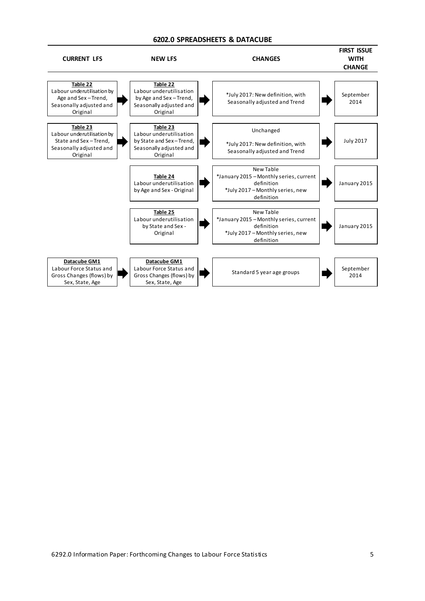# **6202.0 SPREADSHEETS & DATACUBE**

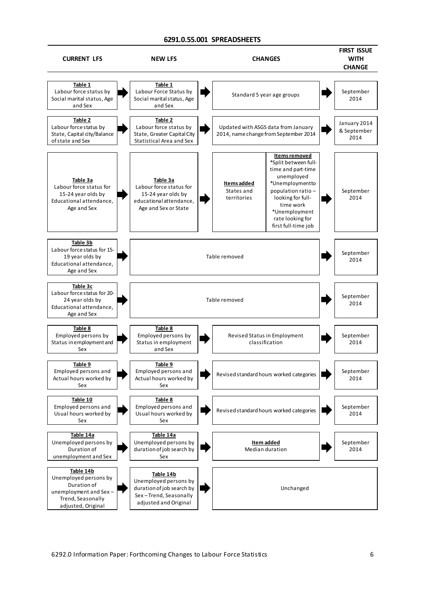#### **6291.0.55.001 SPREADSHEETS**

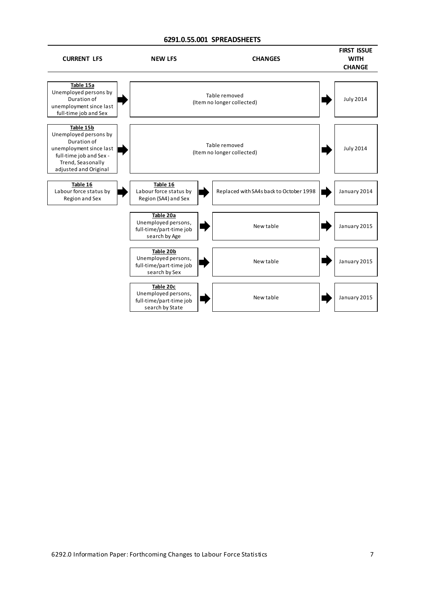## **6291.0.55.001 SPREADSHEETS**

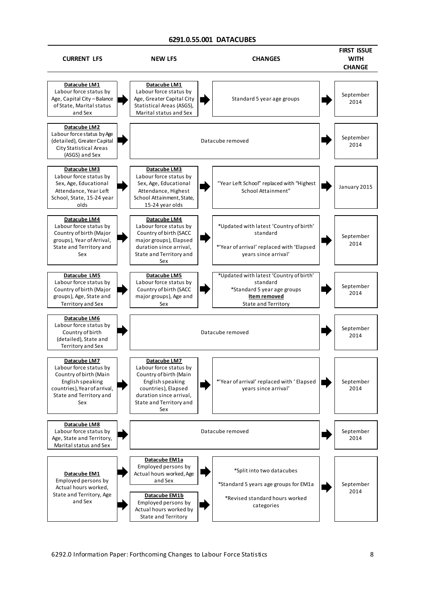# **6291.0.55.001 DATACUBES**

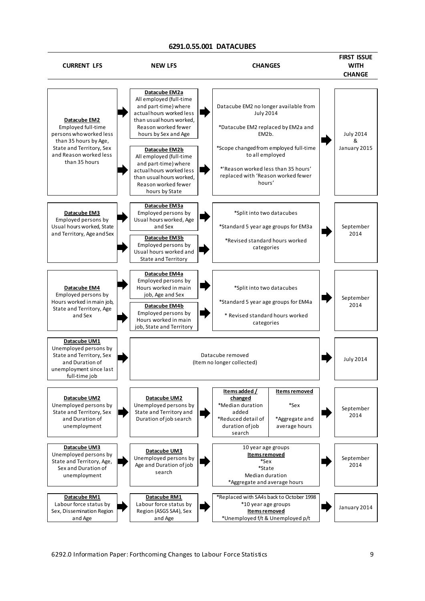#### **6291.0.55.001 DATACUBES**

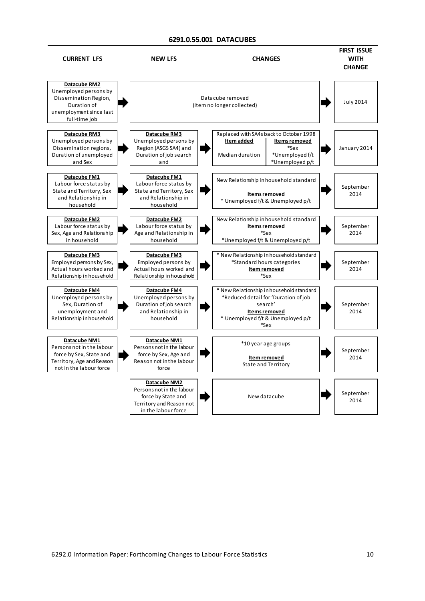### **6291.0.55.001 DATACUBES**

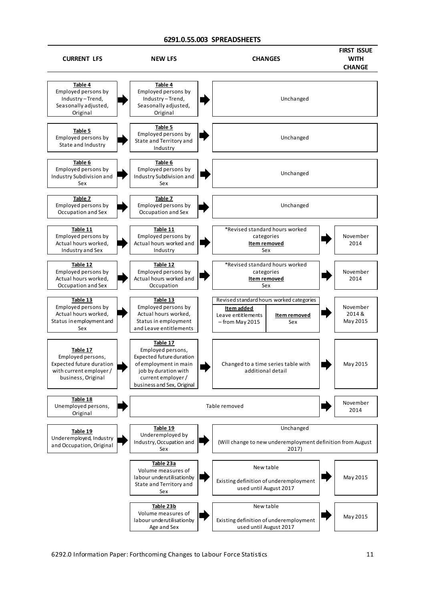## **6291.0.55.003 SPREADSHEETS**

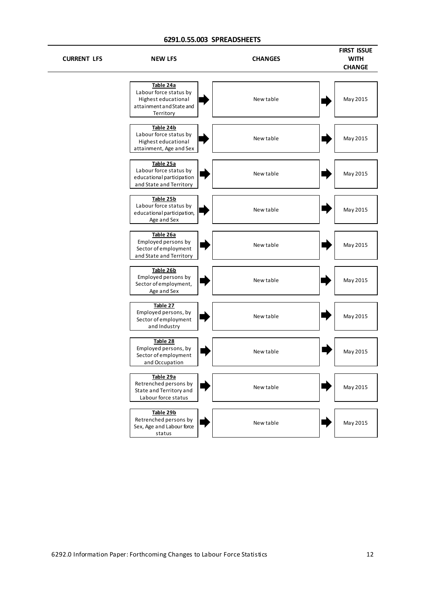# **6291.0.55.003 SPREADSHEETS**

J.

| <b>CURRENT LFS</b> | <b>NEW LFS</b>                                                                                      | <b>CHANGES</b> | <b>FIRST ISSUE</b><br><b>WITH</b><br><b>CHANGE</b> |
|--------------------|-----------------------------------------------------------------------------------------------------|----------------|----------------------------------------------------|
|                    | Table 24a<br>Labour force status by<br>Highest educational<br>attainment and State and<br>Territory | New table      | May 2015                                           |
|                    | Table 24b<br>Labour force status by<br>Highest educational<br>attainment, Age and Sex               | New table      | May 2015                                           |
|                    | Table 25a<br>Labour force status by<br>educational participation<br>and State and Territory         | New table      | May 2015                                           |
|                    | Table 25b<br>Labour force status by<br>educational participation,<br>Age and Sex                    | New table      | May 2015                                           |
|                    | Table 26a<br>Employed persons by<br>Sector of employment<br>and State and Territory                 | New table      | May 2015                                           |
|                    | Table 26b<br>Employed persons by<br>Sector of employment,<br>Age and Sex                            | New table      | May 2015                                           |
|                    | Table 27<br>Employed persons, by<br>Sector of employment<br>and Industry                            | New table      | May 2015                                           |
|                    | Table 28<br>Employed persons, by<br>Sector of employment<br>and Occupation                          | New table      | May 2015                                           |
|                    | Table 29a<br>Retrenched persons by<br>State and Territory and<br>Labour force status                | New table      | May 2015                                           |
|                    | Table 29b<br>Retrenched persons by<br>Sex, Age and Labour force<br>status                           | New table      | May 2015                                           |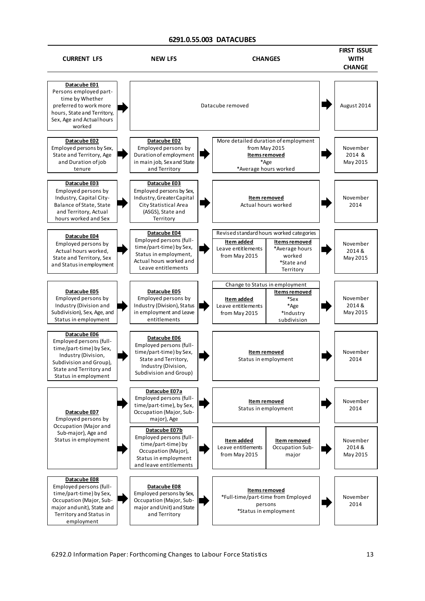## **6291.0.55.003 DATACUBES**

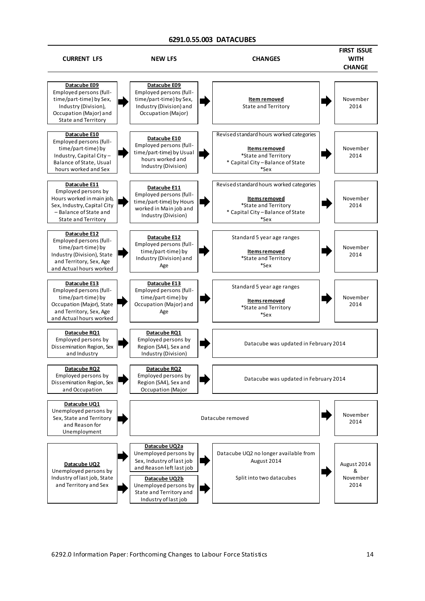## **6291.0.55.003 DATACUBES**